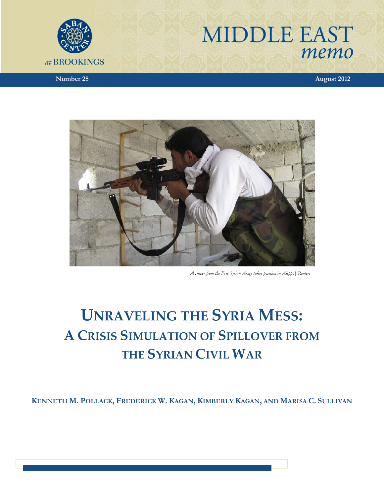# **MIDDLE EAST** memo



*Number 25* **August 2012** 



 *A sniper from the Free Syrian Army takes position in Aleppo| Reuters*

## **UNRAVELING THE SYRIA MESS: A CRISIS SIMULATION OF SPILLOVER FROM THE SYRIAN CIVIL WAR**

**KENNETH M. POLLACK, FREDERICK W. KAGAN, KIMBERLY KAGAN, AND MARISA C. SULLIVAN**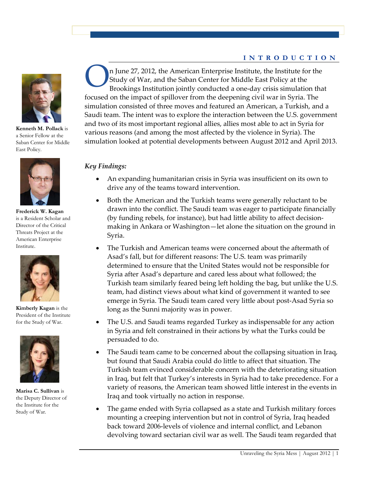#### **INTRODUCTION**



**Kenneth M. Pollack** is a Senior Fellow at the Saban Center for Middle East Policy.



**Frederick W. Kagan**  is a Resident Scholar and Director of the Critical Threats Project at the American Enterprise Institute.



**Kimberly Kagan** is the President of the Institute for the Study of War.



**Marisa C. Sullivan** is the Deputy Director of the Institute for the Study of War.

n June 27, 2012, the American Enterprise Institute, the Institute for the Study of War, and the Saban Center for Middle East Policy at the Brookings Institution jointly conducted a one-day crisis simulation that focused on the impact of spillover from the deepening civil war in Syria. The simulation consisted of three moves and featured an American, a Turkish, and a Saudi team. The intent was to explore the interaction between the U.S. government and two of its most important regional allies, allies most able to act in Syria for various reasons (and among the most affected by the violence in Syria). The simulation looked at potential developments between August 2012 and April 2013. O

#### *Key Findings:*

- An expanding humanitarian crisis in Syria was insufficient on its own to drive any of the teams toward intervention.
- Both the American and the Turkish teams were generally reluctant to be drawn into the conflict. The Saudi team was eager to participate financially (by funding rebels, for instance), but had little ability to affect decisionmaking in Ankara or Washington-let alone the situation on the ground in Syria.
- The Turkish and American teams were concerned about the aftermath of Asad's fall, but for different reasons: The U.S. team was primarily determined to ensure that the United States would not be responsible for Syria after Asad's departure and cared less about what followed; the Turkish team similarly feared being left holding the bag, but unlike the U.S. team, had distinct views about what kind of government it wanted to see emerge in Syria. The Saudi team cared very little about post-Asad Syria so long as the Sunni majority was in power.
- The U.S. and Saudi teams regarded Turkey as indispensable for any action in Syria and felt constrained in their actions by what the Turks could be persuaded to do.
- The Saudi team came to be concerned about the collapsing situation in Iraq, but found that Saudi Arabia could do little to affect that situation. The Turkish team evinced considerable concern with the deteriorating situation in Iraq, but felt that Turkey's interests in Syria had to take precedence. For a variety of reasons, the American team showed little interest in the events in Iraq and took virtually no action in response.
- The game ended with Syria collapsed as a state and Turkish military forces mounting a creeping intervention but not in control of Syria, Iraq headed back toward 2006-levels of violence and internal conflict, and Lebanon devolving toward sectarian civil war as well. The Saudi team regarded that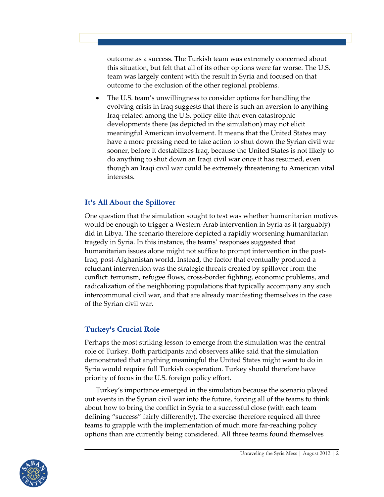outcome as a success. The Turkish team was extremely concerned about this situation, but felt that all of its other options were far worse. The U.S. team was largely content with the result in Syria and focused on that outcome to the exclusion of the other regional problems.

The U.S. team's unwillingness to consider options for handling the evolving crisis in Iraq suggests that there is such an aversion to anything Iraq-related among the U.S. policy elite that even catastrophic developments there (as depicted in the simulation) may not elicit meaningful American involvement. It means that the United States may have a more pressing need to take action to shut down the Syrian civil war sooner, before it destabilizes Iraq, because the United States is not likely to do anything to shut down an Iraqi civil war once it has resumed, even though an Iraqi civil war could be extremely threatening to American vital interests.ȱȱ

## It's All About the Spillover

One question that the simulation sought to test was whether humanitarian motives would be enough to trigger a Western-Arab intervention in Syria as it (arguably) did in Libya. The scenario therefore depicted a rapidly worsening humanitarian tragedy in Syria. In this instance, the teams' responses suggested that humanitarian issues alone might not suffice to prompt intervention in the post-Iraq, post-Afghanistan world. Instead, the factor that eventually produced a reluctant intervention was the strategic threats created by spillover from the conflict: terrorism, refugee flows, cross-border fighting, economic problems, and radicalization of the neighboring populations that typically accompany any such intercommunal civil war, and that are already manifesting themselves in the case of the Syrian civil war.

## **Turkey's Crucial Role**

Perhaps the most striking lesson to emerge from the simulation was the central role of Turkey. Both participants and observers alike said that the simulation demonstrated that anything meaningful the United States might want to do in Syria would require full Turkish cooperation. Turkey should therefore have priority of focus in the U.S. foreign policy effort.

Turkey's importance emerged in the simulation because the scenario played out events in the Syrian civil war into the future, forcing all of the teams to think about how to bring the conflict in Syria to a successful close (with each team defining "success" fairly differently). The exercise therefore required all three teams to grapple with the implementation of much more far-reaching policy options than are currently being considered. All three teams found themselves

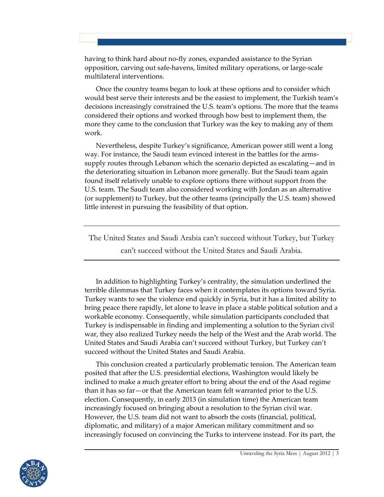having to think hard about no-fly zones, expanded assistance to the Syrian opposition, carving out safe-havens, limited military operations, or large-scale multilateral interventions.

Once the country teams began to look at these options and to consider which would best serve their interests and be the easiest to implement, the Turkish team's decisions increasingly constrained the U.S. team's options. The more that the teams considered their options and worked through how best to implement them, the more they came to the conclusion that Turkey was the key to making any of them work.

Nevertheless, despite Turkey's significance, American power still went a long way. For instance, the Saudi team evinced interest in the battles for the armssupply routes through Lebanon which the scenario depicted as escalating—and in the deteriorating situation in Lebanon more generally. But the Saudi team again found itself relatively unable to explore options there without support from the U.S. team. The Saudi team also considered working with Jordan as an alternative (or supplement) to Turkey, but the other teams (principally the U.S. team) showed little interest in pursuing the feasibility of that option.

The United States and Saudi Arabia can't succeed without Turkey, but Turkey can't succeed without the United States and Saudi Arabia.

In addition to highlighting Turkey's centrality, the simulation underlined the terrible dilemmas that Turkey faces when it contemplates its options toward Syria. Turkey wants to see the violence end quickly in Syria, but it has a limited ability to bring peace there rapidly, let alone to leave in place a stable political solution and a workable economy. Consequently, while simulation participants concluded that Turkey is indispensable in finding and implementing a solution to the Syrian civil war, they also realized Turkey needs the help of the West and the Arab world. The United States and Saudi Arabia can't succeed without Turkey, but Turkey can't succeed without the United States and Saudi Arabia.

This conclusion created a particularly problematic tension. The American team posited that after the U.S. presidential elections, Washington would likely be inclined to make a much greater effort to bring about the end of the Asad regime than it has so far $-$  or that the American team felt warranted prior to the U.S. election. Consequently, in early 2013 (in simulation time) the American team increasingly focused on bringing about a resolution to the Syrian civil war. However, the U.S. team did not want to absorb the costs (financial, political, diplomatic, and military) of a major American military commitment and so increasingly focused on convincing the Turks to intervene instead. For its part, the

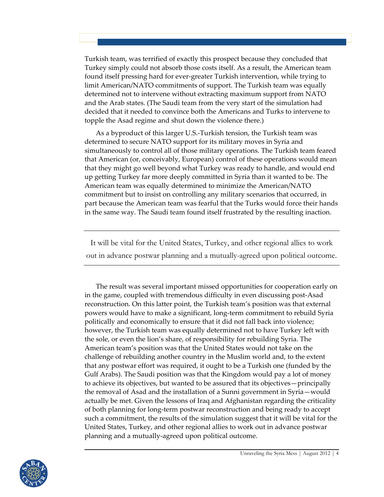Turkish team, was terrified of exactly this prospect because they concluded that Turkey simply could not absorb those costs itself. As a result, the American team found itself pressing hard for ever-greater Turkish intervention, while trying to limit American/NATO commitments of support. The Turkish team was equally determined not to intervene without extracting maximum support from NATO and the Arab states. (The Saudi team from the very start of the simulation had decided that it needed to convince both the Americans and Turks to intervene to topple the Asad regime and shut down the violence there.)

As a byproduct of this larger U.S.-Turkish tension, the Turkish team was determined to secure NATO support for its military moves in Syria and simultaneously to control all of those military operations. The Turkish team feared that American (or, conceivably, European) control of these operations would mean that they might go well beyond what Turkey was ready to handle, and would end up getting Turkey far more deeply committed in Syria than it wanted to be. The American team was equally determined to minimize the American/NATO commitment but to insist on controlling any military scenarios that occurred, in part because the American team was fearful that the Turks would force their hands in the same way. The Saudi team found itself frustrated by the resulting inaction.

It will be vital for the United States, Turkey, and other regional allies to work out in advance postwar planning and a mutually-agreed upon political outcome.

The result was several important missed opportunities for cooperation early on in the game, coupled with tremendous difficulty in even discussing post-Asad reconstruction. On this latter point, the Turkish team's position was that external powers would have to make a significant, longȬterm commitment to rebuild Syria politically and economically to ensure that it did not fall back into violence; however, the Turkish team was equally determined not to have Turkey left with the sole, or even the lion's share, of responsibility for rebuilding Syria. The American team's position was that the United States would not take on the challenge of rebuilding another country in the Muslim world and, to the extent that any postwar effort was required, it ought to be a Turkish one (funded by the Gulf Arabs). The Saudi position was that the Kingdom would pay a lot of money to achieve its objectives, but wanted to be assured that its objectives—principally the removal of Asad and the installation of a Sunni government in Syria—would actually be met. Given the lessons of Iraq and Afghanistan regarding the criticality of both planning for long-term postwar reconstruction and being ready to accept such a commitment, the results of the simulation suggest that it will be vital for the United States, Turkey, and other regional allies to work out in advance postwar planning and a mutually-agreed upon political outcome.

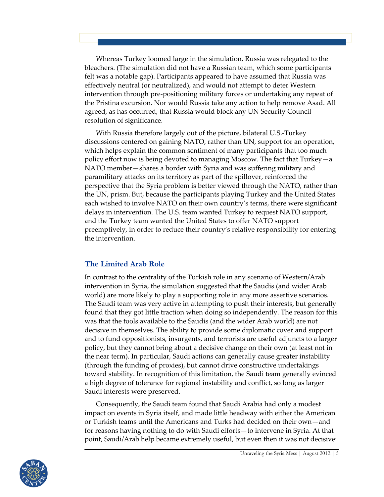Whereas Turkey loomed large in the simulation, Russia was relegated to the bleachers. (The simulation did not have a Russian team, which some participants felt was a notable gap). Participants appeared to have assumed that Russia was effectively neutral (or neutralized), and would not attempt to deter Western intervention through pre-positioning military forces or undertaking any repeat of the Pristina excursion. Nor would Russia take any action to help remove Asad. All agreed, as has occurred, that Russia would block any UN Security Council resolution of significance.

With Russia therefore largely out of the picture, bilateral U.S.-Turkey discussions centered on gaining NATO, rather than UN, support for an operation, which helps explain the common sentiment of many participants that too much policy effort now is being devoted to managing Moscow. The fact that  $Turkey-a$ NATO member—shares a border with Syria and was suffering military and paramilitary attacks on its territory as part of the spillover, reinforced the perspective that the Syria problem is better viewed through the NATO, rather than the UN, prism. But, because the participants playing Turkey and the United States each wished to involve NATO on their own country's terms, there were significant delays in intervention. The U.S. team wanted Turkey to request NATO support, and the Turkey team wanted the United States to offer NATO support preemptively, in order to reduce their country's relative responsibility for entering the intervention.

## **The Limited Arab Role**

In contrast to the centrality of the Turkish role in any scenario of Western/Arab intervention in Syria, the simulation suggested that the Saudis (and wider Arab world) are more likely to play a supporting role in any more assertive scenarios. The Saudi team was very active in attempting to push their interests, but generally found that they got little traction when doing so independently. The reason for this was that the tools available to the Saudis (and the wider Arab world) are not decisive in themselves. The ability to provide some diplomatic cover and support and to fund oppositionists, insurgents, and terrorists are useful adjuncts to a larger policy, but they cannot bring about a decisive change on their own (at least not in the near term). In particular, Saudi actions can generally cause greater instability (through the funding of proxies), but cannot drive constructive undertakings toward stability. In recognition of this limitation, the Saudi team generally evinced a high degree of tolerance for regional instability and conflict, so long as larger Saudi interests were preserved.

Consequently, the Saudi team found that Saudi Arabia had only a modest impact on events in Syria itself, and made little headway with either the American or Turkish teams until the Americans and Turks had decided on their own—and for reasons having nothing to do with Saudi efforts — to intervene in Syria. At that point, Saudi/Arab help became extremely useful, but even then it was not decisive:

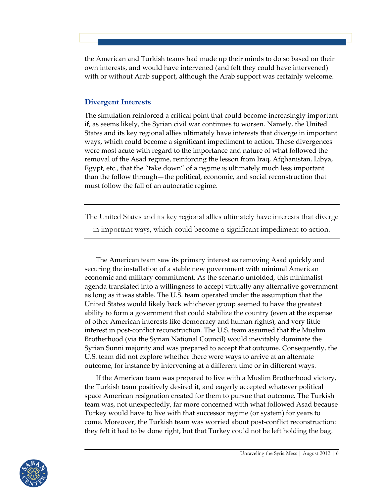the American and Turkish teams had made up their minds to do so based on their own interests, and would have intervened (and felt they could have intervened) with or without Arab support, although the Arab support was certainly welcome.

## **Divergent Interests**

The simulation reinforced a critical point that could become increasingly important if, as seems likely, the Syrian civil war continues to worsen. Namely, the United States and its key regional allies ultimately have interests that diverge in important ways, which could become a significant impediment to action. These divergences were most acute with regard to the importance and nature of what followed the removal of the Asad regime, reinforcing the lesson from Iraq, Afghanistan, Libya, Egypt, etc., that the "take down" of a regime is ultimately much less important than the follow through—the political, economic, and social reconstruction that must follow the fall of an autocratic regime.

The United States and its key regional allies ultimately have interests that diverge

in important ways, which could become a significant impediment to action.

The American team saw its primary interest as removing Asad quickly and securing the installation of a stable new government with minimal American economic and military commitment. As the scenario unfolded, this minimalist agenda translated into a willingness to accept virtually any alternative government as long as it was stable. The U.S. team operated under the assumption that the United States would likely back whichever group seemed to have the greatest ability to form a government that could stabilize the country (even at the expense of other American interests like democracy and human rights), and very little interest in post-conflict reconstruction. The U.S. team assumed that the Muslim Brotherhood (via the Syrian National Council) would inevitably dominate the Syrian Sunni majority and was prepared to accept that outcome. Consequently, the U.S. team did not explore whether there were ways to arrive at an alternate outcome, for instance by intervening at a different time or in different ways.

If the American team was prepared to live with a Muslim Brotherhood victory, the Turkish team positively desired it, and eagerly accepted whatever political space American resignation created for them to pursue that outcome. The Turkish team was, not unexpectedly, far more concerned with what followed Asad because Turkey would have to live with that successor regime (or system) for years to come. Moreover, the Turkish team was worried about post-conflict reconstruction: they felt it had to be done right, but that Turkey could not be left holding the bag.

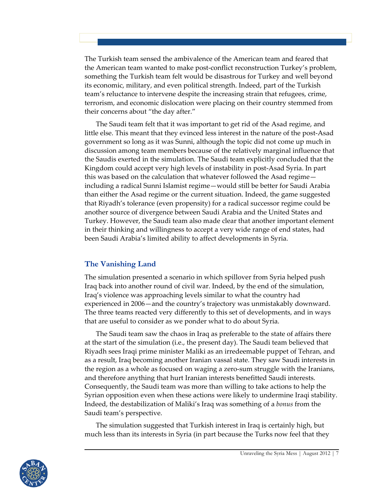The Turkish team sensed the ambivalence of the American team and feared that the American team wanted to make post-conflict reconstruction Turkey's problem, something the Turkish team felt would be disastrous for Turkey and well beyond its economic, military, and even political strength. Indeed, part of the Turkish team's reluctance to intervene despite the increasing strain that refugees, crime, terrorism, and economic dislocation were placing on their country stemmed from their concerns about "the day after."

The Saudi team felt that it was important to get rid of the Asad regime, and little else. This meant that they evinced less interest in the nature of the post-Asad government so long as it was Sunni, although the topic did not come up much in discussion among team members because of the relatively marginal influence that the Saudis exerted in the simulation. The Saudi team explicitly concluded that the Kingdom could accept very high levels of instability in post-Asad Syria. In part this was based on the calculation that whatever followed the Asad regime including a radical Sunni Islamist regime—would still be better for Saudi Arabia than either the Asad regime or the current situation. Indeed, the game suggested that Riyadh's tolerance (even propensity) for a radical successor regime could be another source of divergence between Saudi Arabia and the United States and Turkey. However, the Saudi team also made clear that another important element in their thinking and willingness to accept a very wide range of end states, had been Saudi Arabia's limited ability to affect developments in Syria.

## **The Vanishing Land**

The simulation presented a scenario in which spillover from Syria helped push Iraq back into another round of civil war. Indeed, by the end of the simulation, Iraq's violence was approaching levels similar to what the country had experienced in 2006—and the country's trajectory was unmistakably downward. The three teams reacted very differently to this set of developments, and in ways that are useful to consider as we ponder what to do about Syria.

The Saudi team saw the chaos in Iraq as preferable to the state of affairs there at the start of the simulation (i.e., the present day). The Saudi team believed that Riyadh sees Iraqi prime minister Maliki as an irredeemable puppet of Tehran, and as a result, Iraq becoming another Iranian vassal state. They saw Saudi interests in the region as a whole as focused on waging a zero-sum struggle with the Iranians, and therefore anything that hurt Iranian interests benefitted Saudi interests. Consequently, the Saudi team was more than willing to take actions to help the Syrian opposition even when these actions were likely to undermine Iraqi stability. Indeed, the destabilization of Maliki's Iraq was something of a *bonus* from the Saudi team's perspective.

The simulation suggested that Turkish interest in Iraq is certainly high, but much less than its interests in Syria (in part because the Turks now feel that they

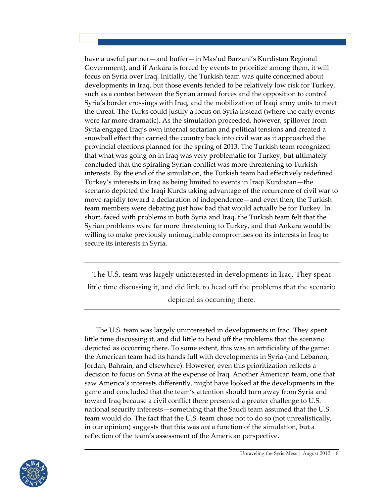have a useful partner—and buffer—in Mas'ud Barzani's Kurdistan Regional Government), and if Ankara is forced by events to prioritize among them, it will focus on Syria over Iraq. Initially, the Turkish team was quite concerned about developments in Iraq, but those events tended to be relatively low risk for Turkey, such as a contest between the Syrian armed forces and the opposition to control Syria's border crossings with Iraq, and the mobilization of Iraqi army units to meet the threat. The Turks could justify a focus on Syria instead (where the early events were far more dramatic). As the simulation proceeded, however, spillover from Syria engaged Iraq's own internal sectarian and political tensions and created a snowball effect that carried the country back into civil war as it approached the provincial elections planned for the spring of 2013. The Turkish team recognized that what was going on in Iraq was very problematic for Turkey, but ultimately concluded that the spiraling Syrian conflict was more threatening to Turkish interests. By the end of the simulation, the Turkish team had effectively redefined Turkey's interests in Iraq as being limited to events in Iraqi Kurdistan—the scenario depicted the Iraqi Kurds taking advantage of the recurrence of civil war to move rapidly toward a declaration of independence—and even then, the Turkish team members were debating just how bad that would actually be for Turkey. In short, faced with problems in both Syria and Iraq, the Turkish team felt that the Syrian problems were far more threatening to Turkey, and that Ankara would be willing to make previously unimaginable compromises on its interests in Iraq to secure its interests in Syria.

The U.S. team was largely uninterested in developments in Iraq. They spent little time discussing it, and did little to head off the problems that the scenario depicted as occurring there.

The U.S. team was largely uninterested in developments in Iraq. They spent little time discussing it, and did little to head off the problems that the scenario depicted as occurring there. To some extent, this was an artificiality of the game: the American team had its hands full with developments in Syria (and Lebanon, Jordan, Bahrain, and elsewhere). However, even this prioritization reflects a decision to focus on Syria at the expense of Iraq. Another American team, one that saw America's interests differently, might have looked at the developments in the game and concluded that the team's attention should turn away from Syria and toward Iraq because a civil conflict there presented a greater challenge to U.S. national security interests—something that the Saudi team assumed that the U.S. team would do. The fact that the U.S. team chose not to do so (not unrealistically, in our opinion) suggests that this was *not* a function of the simulation, but a reflection of the team's assessment of the American perspective.

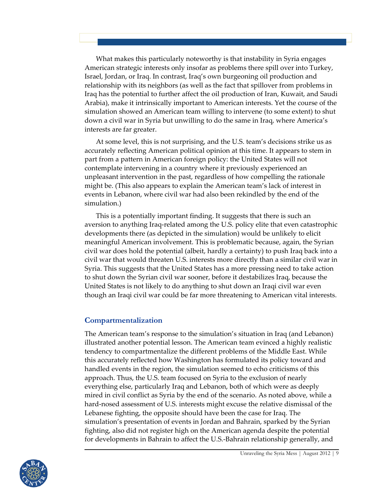What makes this particularly noteworthy is that instability in Syria engages American strategic interests only insofar as problems there spill over into Turkey, Israel, Jordan, or Iraq. In contrast, Iraq's own burgeoning oil production and relationship with its neighbors (as well as the fact that spillover from problems in Iraq has the potential to further affect the oil production of Iran, Kuwait, and Saudi Arabia), make it intrinsically important to American interests. Yet the course of the simulation showed an American team willing to intervene (to some extent) to shut down a civil war in Syria but unwilling to do the same in Iraq, where America's interests are far greater.

At some level, this is not surprising, and the U.S. team's decisions strike us as accurately reflecting American political opinion at this time. It appears to stem in part from a pattern in American foreign policy: the United States will not contemplate intervening in a country where it previously experienced an unpleasant intervention in the past, regardless of how compelling the rationale might be. (This also appears to explain the American team's lack of interest in events in Lebanon, where civil war had also been rekindled by the end of the simulation.)

This is a potentially important finding. It suggests that there is such an aversion to anything Iraq-related among the U.S. policy elite that even catastrophic developments there (as depicted in the simulation) would be unlikely to elicit meaningful American involvement. This is problematic because, again, the Syrian civil war does hold the potential (albeit, hardly a certainty) to push Iraq back into a civil war that would threaten U.S. interests more directly than a similar civil war in Syria. This suggests that the United States has a more pressing need to take action to shut down the Syrian civil war sooner, before it destabilizes Iraq, because the United States is not likely to do anything to shut down an Iraqi civil war even though an Iraqi civil war could be far more threatening to American vital interests.

#### **Compartmentalization**

The American team's response to the simulation's situation in Iraq (and Lebanon) illustrated another potential lesson. The American team evinced a highly realistic tendency to compartmentalize the different problems of the Middle East. While this accurately reflected how Washington has formulated its policy toward and handled events in the region, the simulation seemed to echo criticisms of this approach. Thus, the U.S. team focused on Syria to the exclusion of nearly everything else, particularly Iraq and Lebanon, both of which were as deeply mired in civil conflict as Syria by the end of the scenario. As noted above, while a hard-nosed assessment of U.S. interests might excuse the relative dismissal of the Lebanese fighting, the opposite should have been the case for Iraq. The simulation's presentation of events in Jordan and Bahrain, sparked by the Syrian fighting, also did not register high on the American agenda despite the potential for developments in Bahrain to affect the U.S.-Bahrain relationship generally, and